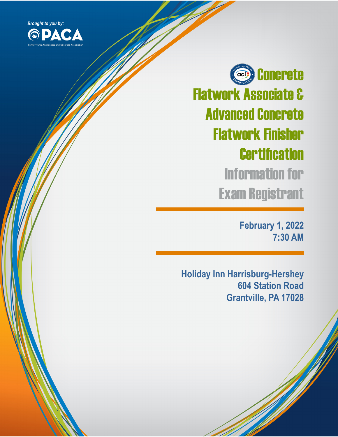

Concrete **aci** Flatwork Associate & Advanced Concrete Flatwork Finisher **Certification** Information for Exam Registrant

> **February 1, 2022 7:30 AM**

**Holiday Inn Harrisburg-Hershey 604 Station Road Grantville, PA 17028**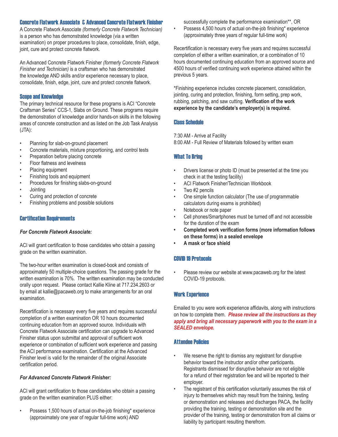## Concrete Flatwork Associate & Advanced Concrete Flatwork Finisher

A Concrete Flatwork Associate *(formerly Concrete Flatwork Technician)*  is a person who has demonstrated knowledge (via a written examination) on proper procedures to place, consolidate, finish, edge, joint, cure and protect concrete flatwork.

An Advanced Concrete Flatwork Finisher *(formerly Concrete Flatwork Finisher and Technician)* is a craftsman who has demonstrated the knowledge AND skills and/or experience necessary to place, consolidate, finish, edge, joint, cure and protect concrete flatwork.

#### Scope and Knowledge

The primary technical resource for these programs is ACI "Concrete Craftsman Series" CCS-1, Slabs on Ground. These programs require the demonstration of knowledge and/or hands-on skills in the following areas of concrete construction and as listed on the Job Task Analysis (JTA):

- Planning for slab-on-ground placement
- Concrete materials, mixture proportioning, and control tests
- Preparation before placing concrete
- Floor flatness and levelness
- Placing equipment
- Finishing tools and equipment
- Procedures for finishing slabs-on-ground
- Jointing
- Curing and protection of concrete
- Finishing problems and possible solutions

#### Certification Requirements

#### *For Concrete Flatwork Associate:*

ACI will grant certification to those candidates who obtain a passing grade on the written examination.

The two-hour written examination is closed-book and consists of approximately 50 multiple-choice questions. The passing grade for the written examination is 70%. The written examination may be conducted orally upon request. Please contact Kallie Kline at 717.234.2603 or by email at kallie@pacaweb.org to make arrangements for an oral examination.

Recertification is necessary every five years and requires successful completion of a written examination OR 10 hours documented continuing education from an approved source. Individuals with Concrete Flatwork Associate certification can upgrade to Advanced Finisher status upon submittal and approval of sufficient work experience or combination of sufficient work experience and passing the ACI performance examination. Certification at the Advanced Finisher level is valid for the remainder of the original Associate certification period.

#### *For Advanced Concrete Flatwork Finisher:*

ACI will grant certification to those candidates who obtain a passing grade on the written examination PLUS either:

• Possess 1,500 hours of actual on-the-job finishing\* experience (approximately one year of regular full-time work) AND

successfully complete the performance examination\*\*, OR

Possess 4,500 hours of actual on-the-job finishing\* experience (approximately three years of regular full-time work)

Recertification is necessary every five years and requires successful completion of either a written examination, or a combination of 10 hours documented continuing education from an approved source and 4500 hours of verified continuing work experience attained within the previous 5 years.

\*Finishing experience includes concrete placement, consolidation, jointing, curing and protection, finishing, form setting, prep work, rubbing, patching, and saw cutting. **Verification of the work experience by the candidate's employer(s) is required.**

#### Class Schedule

7:30 AM - Arrive at Facility

8:00 AM - Full Review of Materials followed by written exam

#### What To Bring

- Drivers license or photo ID (must be presented at the time you check in at the testing facility)
- ACI Flatwork Finisher/Technician Workbook
- Two #2 pencils
- One simple function calculator (The use of programmable calculators during exams is prohibited)
- Notebook or note paper
- Cell phones/Smartphones must be turned off and not accessible for the duration of the exam
- **• Completed work verification forms (more information follows on these forms) in a sealed envelope**
- **• A mask or face shield**

#### COVID 19 Protocols

Please review our website at www.pacaweb.org for the latest COVID-19 protocols.

#### Work Experience

Emailed to you were work experience affidavits, along with instructions on how to complete them. *Please review all the instructions as they apply and bring all necessary paperwork with you to the exam in a SEALED envelope.*

#### Attendee Policies

- We reserve the right to dismiss any registrant for disruptive behavior toward the instructor and/or other participants. Registrants dismissed for disruptive behavior are not eligible for a refund of their registration fee and will be reported to their employer.
- The registrant of this certification voluntarily assumes the risk of injury to themselves which may result from the training, testing or demonstration and releases and discharges PACA, the facility providing the training, testing or demonstration site and the provider of the training, testing or demonstration from all claims or liability by participant resulting therefrom.